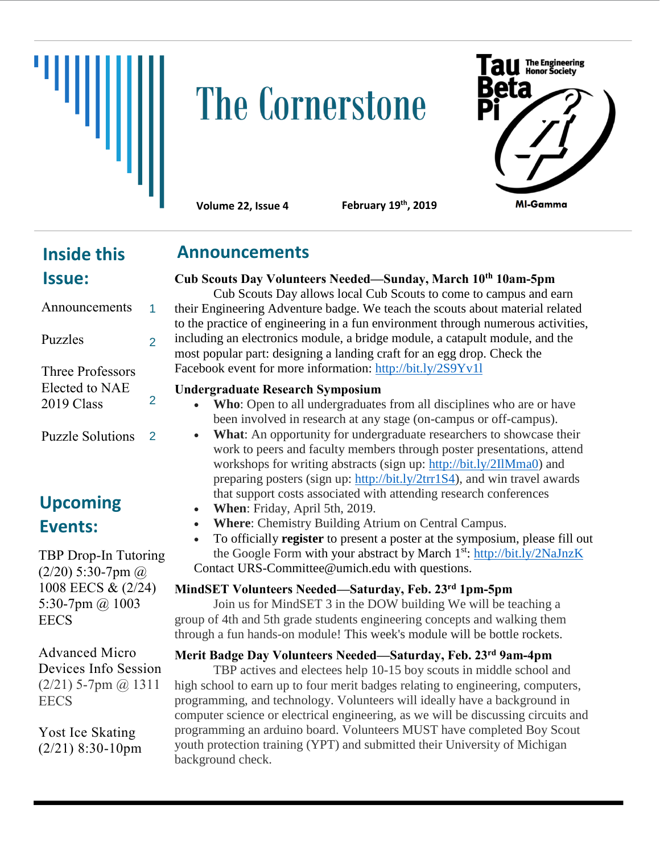

# **The Cornerstone**



**Volume 22, Issue 4** 

**February 19th, 2019** 

## **Inside this Issue:**

#### Announcements Puzzles Three Professors Elected to NAE 2019 Class Puzzle Solutions 1 2 2 2

# **Upcoming Events:**

TBP Drop-In Tutoring  $(2/20)$  5:30-7pm  $\omega$ 1008 EECS & (2/24) 5:30-7pm @ 1003 **EECS** 

Advanced Micro Devices Info Session  $(2/21)$  5-7pm  $@$  1311 **EECS** 

Yost Ice Skating (2/21) 8:30-10pm

## **Announcements**

## **Cub Scouts Day Volunteers Needed—Sunday, March 10th 10am-5pm**

Cub Scouts Day allows local Cub Scouts to come to campus and earn their Engineering Adventure badge. We teach the scouts about material related to the practice of engineering in a fun environment through numerous activities, including an electronics module, a bridge module, a catapult module, and the most popular part: designing a landing craft for an egg drop. Check the Facebook event for more information:<http://bit.ly/2S9Yv1l>

## **Undergraduate Research Symposium**

- **Who**: Open to all undergraduates from all disciplines who are or have been involved in research at any stage (on-campus or off-campus).
- **What**: An opportunity for undergraduate researchers to showcase their work to peers and faculty members through poster presentations, attend workshops for writing abstracts (sign up: [http://bit.ly/2IlMma0\)](http://bit.ly/2IlMma0) and preparing posters (sign up: [http://bit.ly/2trr1S4\)](http://bit.ly/2trr1S4), and win travel awards that support costs associated with attending research conferences
- **When**: Friday, April 5th, 2019.
- **Where**: Chemistry Building Atrium on Central Campus.
- To officially **register** to present a poster at the symposium, please fill out the Google Form with your abstract by March 1<sup>st</sup>:<http://bit.ly/2NaJnzK> Contact URS-Committee@umich.edu with questions.

## **MindSET Volunteers Needed—Saturday, Feb. 23rd 1pm-5pm**

Join us for MindSET 3 in the DOW building We will be teaching a group of 4th and 5th grade students engineering concepts and walking them through a fun hands-on module! This week's module will be bottle rockets.

**Merit Badge Day Volunteers Needed—Saturday, Feb. 23rd 9am-4pm**

TBP actives and electees help 10-15 boy scouts in middle school and high school to earn up to four merit badges relating to engineering, computers, programming, and technology. Volunteers will ideally have a background in computer science or electrical engineering, as we will be discussing circuits and programming an arduino board. Volunteers MUST have completed Boy Scout youth protection training (YPT) and submitted their University of Michigan background check.